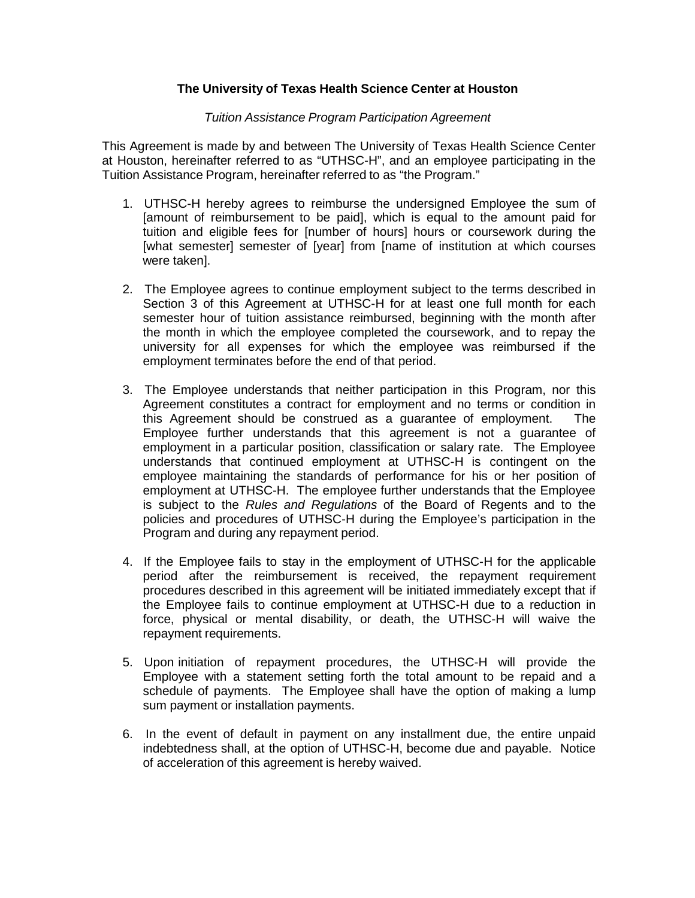## **The University of Texas Health Science Center at Houston**

## *Tuition Assistance Program Participation Agreement*

This Agreement is made by and between The University of Texas Health Science Center at Houston, hereinafter referred to as "UTHSC-H", and an employee participating in the Tuition Assistance Program, hereinafter referred to as "the Program."

- 1. UTHSC-H hereby agrees to reimburse the undersigned Employee the sum of [amount of reimbursement to be paid], which is equal to the amount paid for tuition and eligible fees for [number of hours] hours or coursework during the [what semester] semester of [year] from [name of institution at which courses were taken].
- 2. The Employee agrees to continue employment subject to the terms described in Section 3 of this Agreement at UTHSC-H for at least one full month for each semester hour of tuition assistance reimbursed, beginning with the month after the month in which the employee completed the coursework, and to repay the university for all expenses for which the employee was reimbursed if the employment terminates before the end of that period.
- 3. The Employee understands that neither participation in this Program, nor this Agreement constitutes a contract for employment and no terms or condition in this Agreement should be construed as a guarantee of employment. The Employee further understands that this agreement is not a guarantee of employment in a particular position, classification or salary rate. The Employee understands that continued employment at UTHSC-H is contingent on the employee maintaining the standards of performance for his or her position of employment at UTHSC-H. The employee further understands that the Employee is subject to the *Rules and Regulations* of the Board of Regents and to the policies and procedures of UTHSC-H during the Employee's participation in the Program and during any repayment period.
- 4. If the Employee fails to stay in the employment of UTHSC-H for the applicable period after the reimbursement is received, the repayment requirement procedures described in this agreement will be initiated immediately except that if the Employee fails to continue employment at UTHSC-H due to a reduction in force, physical or mental disability, or death, the UTHSC-H will waive the repayment requirements.
- 5. Upon initiation of repayment procedures, the UTHSC-H will provide the Employee with a statement setting forth the total amount to be repaid and a schedule of payments. The Employee shall have the option of making a lump sum payment or installation payments.
- 6. In the event of default in payment on any installment due, the entire unpaid indebtedness shall, at the option of UTHSC-H, become due and payable. Notice of acceleration of this agreement is hereby waived.